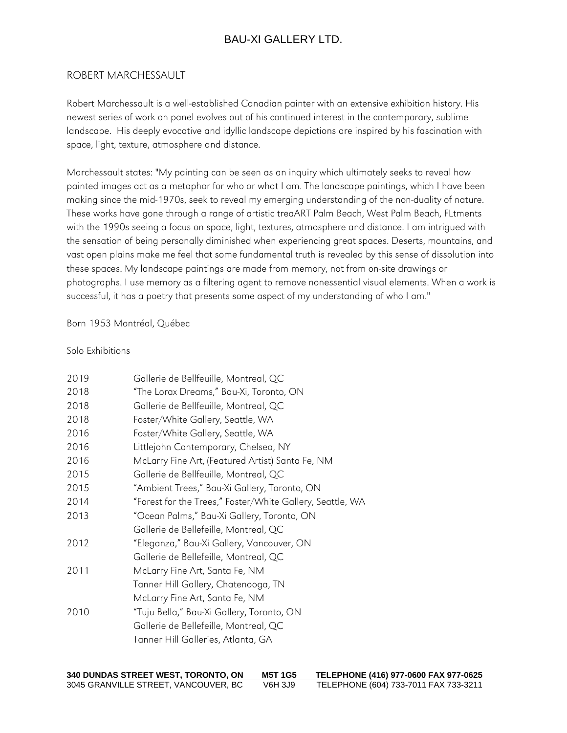### ROBERT MARCHESSAULT

Robert Marchessault is a well-established Canadian painter with an extensive exhibition history. His newest series of work on panel evolves out of his continued interest in the contemporary, sublime landscape. His deeply evocative and idyllic landscape depictions are inspired by his fascination with space, light, texture, atmosphere and distance.

Marchessault states: "My painting can be seen as an inquiry which ultimately seeks to reveal how painted images act as a metaphor for who or what I am. The landscape paintings, which I have been making since the mid-1970s, seek to reveal my emerging understanding of the non-duality of nature. These works have gone through a range of artistic treaART Palm Beach, West Palm Beach, FLtments with the 1990s seeing a focus on space, light, textures, atmosphere and distance. I am intrigued with the sensation of being personally diminished when experiencing great spaces. Deserts, mountains, and vast open plains make me feel that some fundamental truth is revealed by this sense of dissolution into these spaces. My landscape paintings are made from memory, not from on-site drawings or photographs. I use memory as a filtering agent to remove nonessential visual elements. When a work is successful, it has a poetry that presents some aspect of my understanding of who I am."

### Born 1953 Montréal, Québec

### Solo Exhibitions

| 2019 | Gallerie de Bellfeuille, Montreal, QC                     |  |
|------|-----------------------------------------------------------|--|
| 2018 | "The Lorax Dreams," Bau-Xi, Toronto, ON                   |  |
| 2018 | Gallerie de Bellfeuille, Montreal, QC                     |  |
| 2018 | Foster/White Gallery, Seattle, WA                         |  |
| 2016 | Foster/White Gallery, Seattle, WA                         |  |
| 2016 | Littlejohn Contemporary, Chelsea, NY                      |  |
| 2016 | McLarry Fine Art, (Featured Artist) Santa Fe, NM          |  |
| 2015 | Gallerie de Bellfeuille, Montreal, QC                     |  |
| 2015 | "Ambient Trees," Bau-Xi Gallery, Toronto, ON              |  |
| 2014 | "Forest for the Trees," Foster/White Gallery, Seattle, WA |  |
| 2013 | "Ocean Palms," Bau-Xi Gallery, Toronto, ON                |  |
|      | Gallerie de Bellefeille, Montreal, QC                     |  |
| 2012 | "Eleganza," Bau-Xi Gallery, Vancouver, ON                 |  |
|      | Gallerie de Bellefeille, Montreal, QC                     |  |
| 2011 | McLarry Fine Art, Santa Fe, NM                            |  |
|      | Tanner Hill Gallery, Chatenooga, TN                       |  |
|      | McLarry Fine Art, Santa Fe, NM                            |  |
| 2010 | "Tuju Bella," Bau-Xi Gallery, Toronto, ON                 |  |
|      | Gallerie de Bellefeille, Montreal, QC                     |  |
|      | Tanner Hill Galleries, Atlanta, GA                        |  |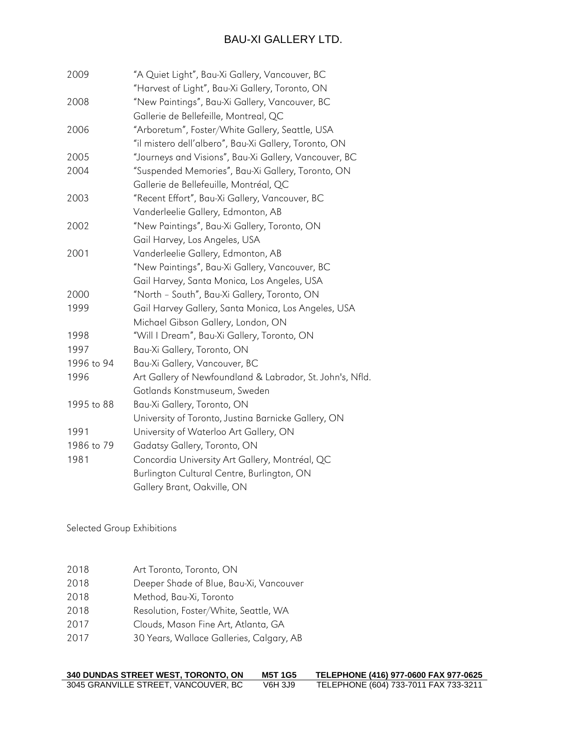| 2009       | "A Quiet Light", Bau-Xi Gallery, Vancouver, BC            |
|------------|-----------------------------------------------------------|
|            | "Harvest of Light", Bau-Xi Gallery, Toronto, ON           |
| 2008       | "New Paintings", Bau-Xi Gallery, Vancouver, BC            |
|            | Gallerie de Bellefeille, Montreal, QC                     |
| 2006       | "Arboretum", Foster/White Gallery, Seattle, USA           |
|            | "il mistero dell'albero", Bau-Xi Gallery, Toronto, ON     |
| 2005       | "Journeys and Visions", Bau-Xi Gallery, Vancouver, BC     |
| 2004       | "Suspended Memories", Bau-Xi Gallery, Toronto, ON         |
|            | Gallerie de Bellefeuille, Montréal, QC                    |
| 2003       | "Recent Effort", Bau-Xi Gallery, Vancouver, BC            |
|            | Vanderleelie Gallery, Edmonton, AB                        |
| 2002       | "New Paintings", Bau-Xi Gallery, Toronto, ON              |
|            | Gail Harvey, Los Angeles, USA                             |
| 2001       | Vanderleelie Gallery, Edmonton, AB                        |
|            | "New Paintings", Bau-Xi Gallery, Vancouver, BC            |
|            | Gail Harvey, Santa Monica, Los Angeles, USA               |
| 2000       | "North - South", Bau-Xi Gallery, Toronto, ON              |
| 1999       | Gail Harvey Gallery, Santa Monica, Los Angeles, USA       |
|            | Michael Gibson Gallery, London, ON                        |
| 1998       | "Will I Dream", Bau-Xi Gallery, Toronto, ON               |
| 1997       | Bau-Xi Gallery, Toronto, ON                               |
| 1996 to 94 | Bau-Xi Gallery, Vancouver, BC                             |
| 1996       | Art Gallery of Newfoundland & Labrador, St. John's, Nfld. |
|            | Gotlands Konstmuseum, Sweden                              |
| 1995 to 88 | Bau-Xi Gallery, Toronto, ON                               |
|            | University of Toronto, Justina Barnicke Gallery, ON       |
| 1991       | University of Waterloo Art Gallery, ON                    |
| 1986 to 79 | Gadatsy Gallery, Toronto, ON                              |
| 1981       | Concordia University Art Gallery, Montréal, QC            |
|            | Burlington Cultural Centre, Burlington, ON                |
|            | Gallery Brant, Oakville, ON                               |

Selected Group Exhibitions

| 2018 | Art Toronto, Toronto, ON                 |
|------|------------------------------------------|
| 2018 | Deeper Shade of Blue, Bau-Xi, Vancouver  |
| 2018 | Method, Bau-Xi, Toronto                  |
| 2018 | Resolution, Foster/White, Seattle, WA    |
| 2017 | Clouds, Mason Fine Art, Atlanta, GA      |
| 2017 | 30 Years, Wallace Galleries, Calgary, AB |
|      |                                          |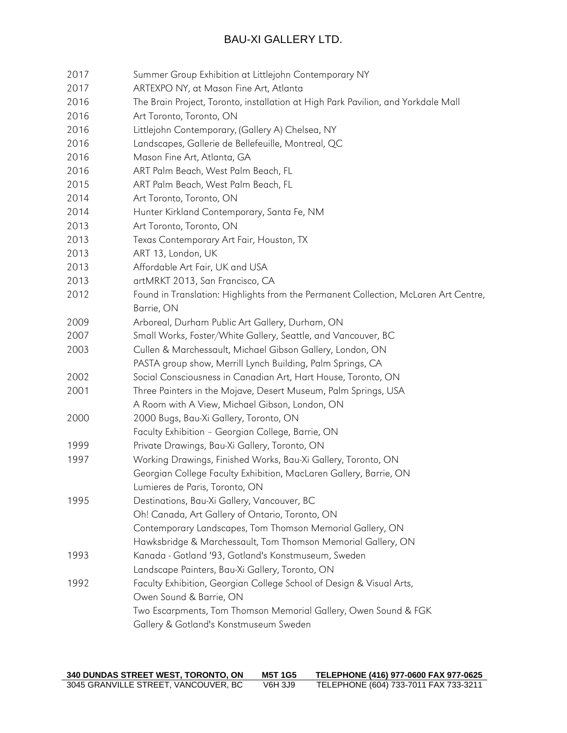| 2017 | Summer Group Exhibition at Littlejohn Contemporary NY                               |
|------|-------------------------------------------------------------------------------------|
| 2017 | ARTEXPO NY, at Mason Fine Art, Atlanta                                              |
| 2016 | The Brain Project, Toronto, installation at High Park Pavilion, and Yorkdale Mall   |
| 2016 | Art Toronto, Toronto, ON                                                            |
| 2016 | Littlejohn Contemporary, (Gallery A) Chelsea, NY                                    |
| 2016 | Landscapes, Gallerie de Bellefeuille, Montreal, QC                                  |
| 2016 | Mason Fine Art, Atlanta, GA                                                         |
| 2016 | ART Palm Beach, West Palm Beach, FL                                                 |
| 2015 | ART Palm Beach, West Palm Beach, FL                                                 |
| 2014 | Art Toronto, Toronto, ON                                                            |
| 2014 | Hunter Kirkland Contemporary, Santa Fe, NM                                          |
| 2013 | Art Toronto, Toronto, ON                                                            |
| 2013 | Texas Contemporary Art Fair, Houston, TX                                            |
| 2013 | ART 13, London, UK                                                                  |
| 2013 | Affordable Art Fair, UK and USA                                                     |
| 2013 | artMRKT 2013, San Francisco, CA                                                     |
| 2012 | Found in Translation: Highlights from the Permanent Collection, McLaren Art Centre, |
|      | Barrie, ON                                                                          |
| 2009 | Arboreal, Durham Public Art Gallery, Durham, ON                                     |
| 2007 | Small Works, Foster/White Gallery, Seattle, and Vancouver, BC                       |
| 2003 | Cullen & Marchessault, Michael Gibson Gallery, London, ON                           |
|      | PASTA group show, Merrill Lynch Building, Palm Springs, CA                          |
| 2002 | Social Consciousness in Canadian Art, Hart House, Toronto, ON                       |
| 2001 | Three Painters in the Mojave, Desert Museum, Palm Springs, USA                      |
|      | A Room with A View, Michael Gibson, London, ON                                      |
| 2000 | 2000 Bugs, Bau-Xi Gallery, Toronto, ON                                              |
|      | Faculty Exhibition - Georgian College, Barrie, ON                                   |
| 1999 | Private Drawings, Bau-Xi Gallery, Toronto, ON                                       |
| 1997 | Working Drawings, Finished Works, Bau-Xi Gallery, Toronto, ON                       |
|      | Georgian College Faculty Exhibition, MacLaren Gallery, Barrie, ON                   |
|      | Lumieres de Paris, Toronto, ON                                                      |
| 1995 | Destinations, Bau-Xi Gallery, Vancouver, BC                                         |
|      | Oh! Canada, Art Gallery of Ontario, Toronto, ON                                     |
|      | Contemporary Landscapes, Tom Thomson Memorial Gallery, ON                           |
|      | Hawksbridge & Marchessault, Tom Thomson Memorial Gallery, ON                        |
| 1993 | Kanada - Gotland '93, Gotland's Konstmuseum, Sweden                                 |
|      | Landscape Painters, Bau-Xi Gallery, Toronto, ON                                     |
| 1992 | Faculty Exhibition, Georgian College School of Design & Visual Arts,                |
|      | Owen Sound & Barrie, ON                                                             |
|      | Two Escarpments, Tom Thomson Memorial Gallery, Owen Sound & FGK                     |
|      | Gallery & Gotland's Konstmuseum Sweden                                              |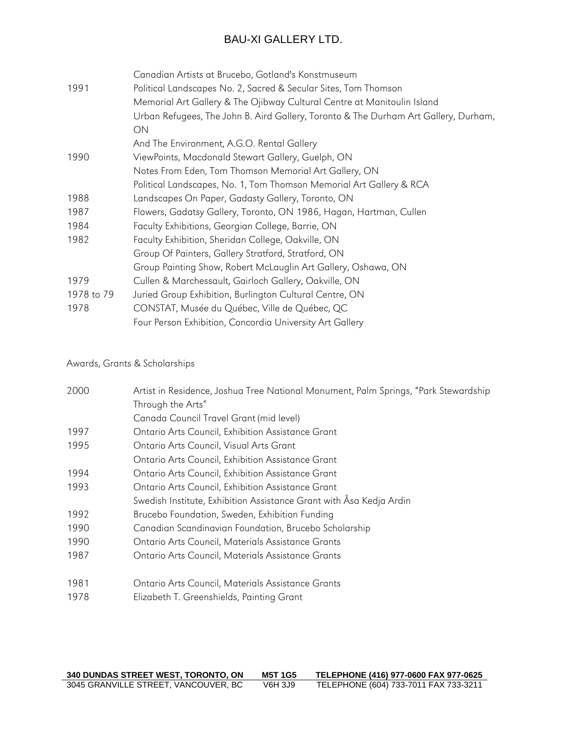|            | Canadian Artists at Brucebo, Gotland's Konstmuseum                                  |
|------------|-------------------------------------------------------------------------------------|
| 1991       | Political Landscapes No. 2, Sacred & Secular Sites, Tom Thomson                     |
|            | Memorial Art Gallery & The Ojibway Cultural Centre at Manitoulin Island             |
|            | Urban Refugees, The John B. Aird Gallery, Toronto & The Durham Art Gallery, Durham, |
|            | ON                                                                                  |
|            | And The Environment, A.G.O. Rental Gallery                                          |
| 1990       | ViewPoints, Macdonald Stewart Gallery, Guelph, ON                                   |
|            | Notes From Eden, Tom Thomson Memorial Art Gallery, ON                               |
|            | Political Landscapes, No. 1, Tom Thomson Memorial Art Gallery & RCA                 |
| 1988       | Landscapes On Paper, Gadasty Gallery, Toronto, ON                                   |
| 1987       | Flowers, Gadatsy Gallery, Toronto, ON 1986, Hagan, Hartman, Cullen                  |
| 1984       | Faculty Exhibitions, Georgian College, Barrie, ON                                   |
| 1982       | Faculty Exhibition, Sheridan College, Oakville, ON                                  |
|            | Group Of Painters, Gallery Stratford, Stratford, ON                                 |
|            | Group Painting Show, Robert McLauglin Art Gallery, Oshawa, ON                       |
| 1979       | Cullen & Marchessault, Gairloch Gallery, Oakville, ON                               |
| 1978 to 79 | Juried Group Exhibition, Burlington Cultural Centre, ON                             |
| 1978       | CONSTAT, Musée du Québec, Ville de Québec, QC                                       |
|            | Four Person Exhibition, Concordia University Art Gallery                            |
|            |                                                                                     |

Awards, Grants & Scholarships

| 2000 | Artist in Residence, Joshua Tree National Monument, Palm Springs, "Park Stewardship |
|------|-------------------------------------------------------------------------------------|
|      | Through the Arts"                                                                   |
|      | Canada Council Travel Grant (mid level)                                             |
| 1997 | Ontario Arts Council, Exhibition Assistance Grant                                   |
| 1995 | Ontario Arts Council, Visual Arts Grant                                             |
|      | Ontario Arts Council, Exhibition Assistance Grant                                   |
| 1994 | Ontario Arts Council, Exhibition Assistance Grant                                   |
| 1993 | Ontario Arts Council, Exhibition Assistance Grant                                   |
|      | Swedish Institute, Exhibition Assistance Grant with Åsa Kedja Ardin                 |
| 1992 | Brucebo Foundation, Sweden, Exhibition Funding                                      |
| 1990 | Canadian Scandinavian Foundation, Brucebo Scholarship                               |
| 1990 | Ontario Arts Council, Materials Assistance Grants                                   |
| 1987 | Ontario Arts Council, Materials Assistance Grants                                   |
| 1981 | Ontario Arts Council, Materials Assistance Grants                                   |
| 1978 | Elizabeth T. Greenshields, Painting Grant                                           |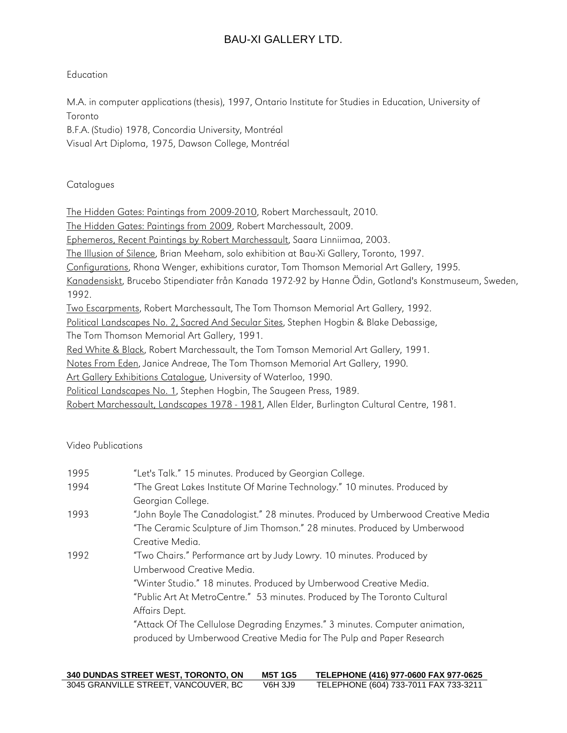### Education

M.A. in computer applications (thesis), 1997, Ontario Institute for Studies in Education, University of Toronto

B.F.A. (Studio) 1978, Concordia University, Montréal Visual Art Diploma, 1975, Dawson College, Montréal

### **Catalogues**

The Hidden Gates: Paintings from 2009-2010, Robert Marchessault, 2010.

The Hidden Gates: Paintings from 2009, Robert Marchessault, 2009.

Ephemeros, Recent Paintings by Robert Marchessault, Saara Linniimaa, 2003.

The Illusion of Silence, Brian Meeham, solo exhibition at Bau-Xi Gallery, Toronto, 1997.

Configurations, Rhona Wenger, exhibitions curator, Tom Thomson Memorial Art Gallery, 1995.

Kanadensiskt, Brucebo Stipendiater från Kanada 1972-92 by Hanne Ödin, Gotland's Konstmuseum, Sweden, 1992.

Two Escarpments, Robert Marchessault, The Tom Thomson Memorial Art Gallery, 1992.

Political Landscapes No. 2, Sacred And Secular Sites, Stephen Hogbin & Blake Debassige,

The Tom Thomson Memorial Art Gallery, 1991.

Red White & Black, Robert Marchessault, the Tom Tomson Memorial Art Gallery, 1991.

Notes From Eden, Janice Andreae, The Tom Thomson Memorial Art Gallery, 1990.

Art Gallery Exhibitions Catalogue, University of Waterloo, 1990.

Political Landscapes No. 1, Stephen Hogbin, The Saugeen Press, 1989.

Robert Marchessault, Landscapes 1978 - 1981, Allen Elder, Burlington Cultural Centre, 1981.

Video Publications

| 1995 | "Let's Talk." 15 minutes. Produced by Georgian College.                         |
|------|---------------------------------------------------------------------------------|
| 1994 | "The Great Lakes Institute Of Marine Technology." 10 minutes. Produced by       |
|      | Georgian College.                                                               |
| 1993 | "John Boyle The Canadologist." 28 minutes. Produced by Umberwood Creative Media |
|      | "The Ceramic Sculpture of Jim Thomson." 28 minutes. Produced by Umberwood       |
|      | Creative Media.                                                                 |
| 1992 | "Two Chairs." Performance art by Judy Lowry. 10 minutes. Produced by            |
|      | Umberwood Creative Media.                                                       |
|      | "Winter Studio." 18 minutes. Produced by Umberwood Creative Media.              |
|      | "Public Art At MetroCentre." 53 minutes. Produced by The Toronto Cultural       |
|      | Affairs Dept.                                                                   |
|      | "Attack Of The Cellulose Degrading Enzymes." 3 minutes. Computer animation,     |
|      | produced by Umberwood Creative Media for The Pulp and Paper Research            |
|      |                                                                                 |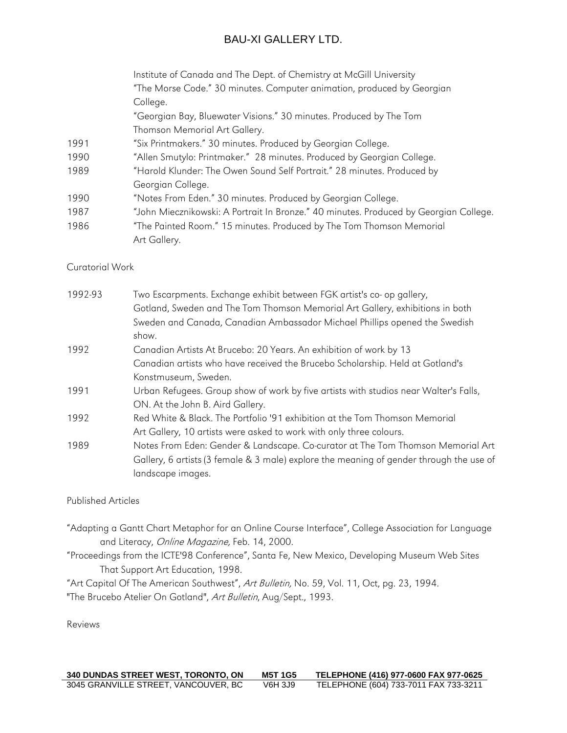|      | Institute of Canada and The Dept. of Chemistry at McGill University                   |
|------|---------------------------------------------------------------------------------------|
|      | "The Morse Code." 30 minutes. Computer animation, produced by Georgian                |
|      | College.                                                                              |
|      | "Georgian Bay, Bluewater Visions." 30 minutes. Produced by The Tom                    |
|      | Thomson Memorial Art Gallery.                                                         |
| 1991 | "Six Printmakers." 30 minutes. Produced by Georgian College.                          |
| 1990 | "Allen Smutylo: Printmaker." 28 minutes. Produced by Georgian College.                |
| 1989 | "Harold Klunder: The Owen Sound Self Portrait." 28 minutes. Produced by               |
|      | Georgian College.                                                                     |
| 1990 | "Notes From Eden." 30 minutes. Produced by Georgian College.                          |
| 1987 | "John Miecznikowski: A Portrait In Bronze." 40 minutes. Produced by Georgian College. |
| 1986 | "The Painted Room." 15 minutes. Produced by The Tom Thomson Memorial                  |
|      | Art Gallery.                                                                          |
|      |                                                                                       |

### Curatorial Work

| 1992-93 | Two Escarpments. Exchange exhibit between FGK artist's co- op gallery,                  |
|---------|-----------------------------------------------------------------------------------------|
|         | Gotland, Sweden and The Tom Thomson Memorial Art Gallery, exhibitions in both           |
|         | Sweden and Canada, Canadian Ambassador Michael Phillips opened the Swedish              |
|         | show.                                                                                   |
| 1992    | Canadian Artists At Brucebo: 20 Years. An exhibition of work by 13                      |
|         | Canadian artists who have received the Brucebo Scholarship. Held at Gotland's           |
|         | Konstmuseum, Sweden.                                                                    |
| 1991    | Urban Refugees. Group show of work by five artists with studios near Walter's Falls,    |
|         | ON. At the John B. Aird Gallery.                                                        |
| 1992    | Red White & Black. The Portfolio '91 exhibition at the Tom Thomson Memorial             |
|         | Art Gallery, 10 artists were asked to work with only three colours.                     |
| 1989    | Notes From Eden: Gender & Landscape. Co-curator at The Tom Thomson Memorial Art         |
|         | Gallery, 6 artists (3 female & 3 male) explore the meaning of gender through the use of |
|         | landscape images.                                                                       |
|         |                                                                                         |

### Published Articles

- "Adapting a Gantt Chart Metaphor for an Online Course Interface", College Association for Language and Literacy, Online Magazine, Feb. 14, 2000.
- "Proceedings from the ICTE'98 Conference", Santa Fe, New Mexico, Developing Museum Web Sites That Support Art Education, 1998.

"Art Capital Of The American Southwest", Art Bulletin, No. 59, Vol. 11, Oct, pg. 23, 1994.

"The Brucebo Atelier On Gotland", Art Bulletin, Aug/Sept., 1993.

Reviews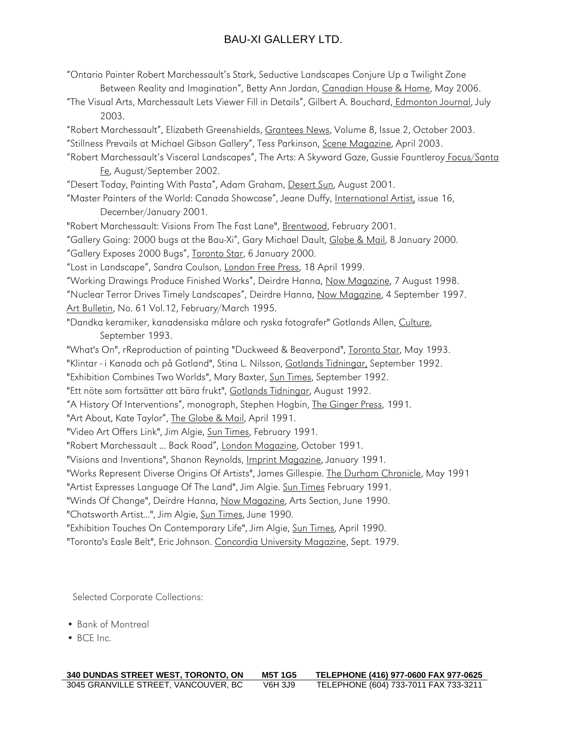| "Ontario Painter Robert Marchessault's Stark, Seductive Landscapes Conjure Up a Twilight Zone<br>Between Reality and Imagination", Betty Ann Jordan, Canadian House & Home, May 2006. |
|---------------------------------------------------------------------------------------------------------------------------------------------------------------------------------------|
| "The Visual Arts, Marchessault Lets Viewer Fill in Details", Gilbert A. Bouchard, Edmonton Journal, July<br>2003.                                                                     |
| "Robert Marchessault", Elizabeth Greenshields, Grantees News, Volume 8, Issue 2, October 2003.                                                                                        |
| "Stillness Prevails at Michael Gibson Gallery", Tess Parkinson, Scene Magazine, April 2003.                                                                                           |
| "Robert Marchessault's Visceral Landscapes", The Arts: A Skyward Gaze, Gussie Fauntleroy Focus/Santa<br>Fe, August/September 2002.                                                    |
| "Desert Today, Painting With Pasta", Adam Graham, Desert Sun, August 2001.                                                                                                            |
| "Master Painters of the World: Canada Showcase", Jeane Duffy, International Artist, issue 16,                                                                                         |
| December/January 2001.                                                                                                                                                                |
| "Robert Marchessault: Visions From The Fast Lane", Brentwood, February 2001.                                                                                                          |
| "Gallery Going: 2000 bugs at the Bau-Xi", Gary Michael Dault, Globe & Mail, 8 January 2000.                                                                                           |
| "Gallery Exposes 2000 Bugs", Toronto Star, 6 January 2000.                                                                                                                            |
| "Lost in Landscape", Sandra Coulson, London Free Press, 18 April 1999.                                                                                                                |
| "Working Drawings Produce Finished Works", Deirdre Hanna, Now Magazine, 7 August 1998.                                                                                                |
| "Nuclear Terror Drives Timely Landscapes", Deirdre Hanna, Now Magazine, 4 September 1997.                                                                                             |
| Art Bulletin, No. 61 Vol.12, February/March 1995.                                                                                                                                     |
| "Dandka keramiker, kanadensiska målare och ryska fotografer" Gotlands Allen, Culture,                                                                                                 |
| September 1993.                                                                                                                                                                       |
| "What's On", rReproduction of painting "Duckweed & Beaverpond", Toronto Star, May 1993.                                                                                               |
| "Klintar - i Kanada och på Gotland", Stina L. Nilsson, Gotlands Tidningar, September 1992.                                                                                            |
| "Exhibition Combines Two Worlds", Mary Baxter, Sun Times, September 1992.                                                                                                             |
| "Ett nöte som fortsätter att bära frukt", Gotlands Tidningar, August 1992.                                                                                                            |
| "A History Of Interventions", monograph, Stephen Hogbin, The Ginger Press, 1991.                                                                                                      |
| "Art About, Kate Taylor", The Globe & Mail, April 1991.                                                                                                                               |
| "Video Art Offers Link", Jim Algie, Sun Times, February 1991.                                                                                                                         |
| "Robert Marchessault  Back Road", London Magazine, October 1991.                                                                                                                      |
| "Visions and Inventions", Shanon Reynolds, Imprint Magazine, January 1991.                                                                                                            |
| "Works Represent Diverse Origins Of Artists", James Gillespie. The Durham Chronicle, May 1991                                                                                         |
| "Artist Expresses Language Of The Land", Jim Algie. Sun Times February 1991.                                                                                                          |
| "Winds Of Change", Deirdre Hanna, Now Magazine, Arts Section, June 1990.                                                                                                              |
| "Chatsworth Artist", Jim Algie, Sun Times, June 1990.                                                                                                                                 |
| "Exhibition Touches On Contemporary Life", Jim Algie, Sun Times, April 1990.                                                                                                          |
| "Toronto's Easle Belt", Eric Johnson. Concordia University Magazine, Sept. 1979.                                                                                                      |

Selected Corporate Collections:

- Bank of Montreal
- BCE Inc.